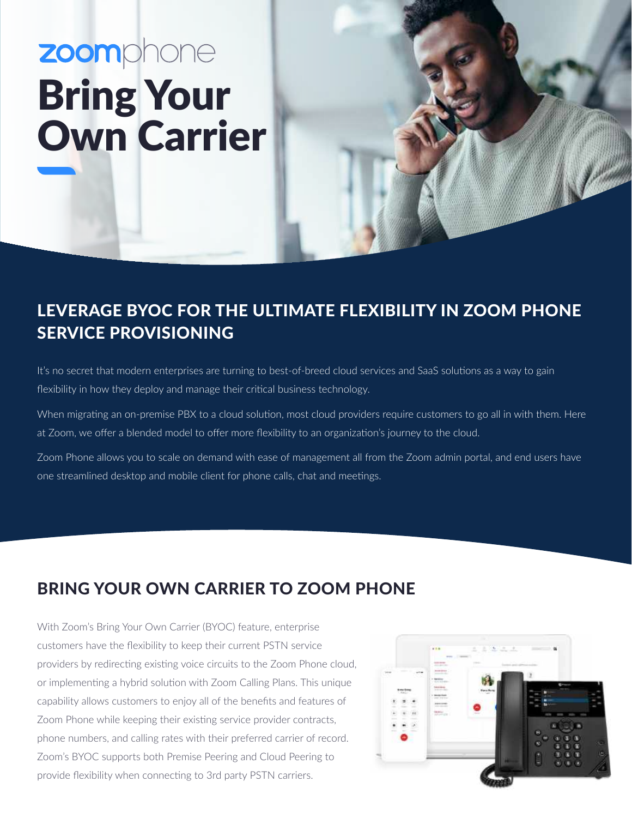# zoomphone Bring Your Own Carrier

# LEVERAGE BYOC FOR THE ULTIMATE FLEXIBILITY IN ZOOM PHONE SERVICE PROVISIONING

It's no secret that modern enterprises are turning to best-of-breed cloud services and SaaS solutions as a way to gain flexibility in how they deploy and manage their critical business technology.

When migrating an on-premise PBX to a cloud solution, most cloud providers require customers to go all in with them. Here at Zoom, we offer a blended model to offer more flexibility to an organization's journey to the cloud.

Zoom Phone allows you to scale on demand with ease of management all from the Zoom admin portal, and end users have one streamlined desktop and mobile client for phone calls, chat and meetings.

# BRING YOUR OWN CARRIER TO ZOOM PHONE

With Zoom's Bring Your Own Carrier (BYOC) feature, enterprise customers have the flexibility to keep their current PSTN service providers by redirecting existing voice circuits to the Zoom Phone cloud, or implementing a hybrid solution with Zoom Calling Plans. This unique capability allows customers to enjoy all of the benefits and features of Zoom Phone while keeping their existing service provider contracts, phone numbers, and calling rates with their preferred carrier of record. Zoom's BYOC supports both Premise Peering and Cloud Peering to provide flexibility when connecting to 3rd party PSTN carriers.

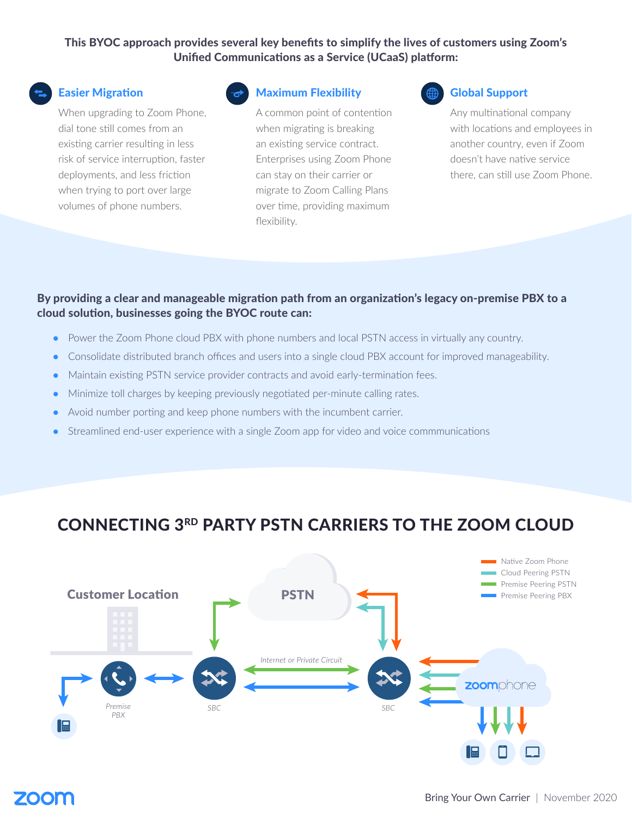## This BYOC approach provides several key benefits to simplify the lives of customers using Zoom's Unified Communications as a Service (UCaaS) platform:



## Easier Migration

When upgrading to Zoom Phone, dial tone still comes from an existing carrier resulting in less risk of service interruption, faster deployments, and less friction when trying to port over large volumes of phone numbers.



## Maximum Flexibility

A common point of contention when migrating is breaking an existing service contract. Enterprises using Zoom Phone can stay on their carrier or migrate to Zoom Calling Plans over time, providing maximum flexibility.

#### Global Support

Any multinational company with locations and employees in another country, even if Zoom doesn't have native service there, can still use Zoom Phone.

## By providing a clear and manageable migration path from an organization's legacy on-premise PBX to a cloud solution, businesses going the BYOC route can:

- Power the Zoom Phone cloud PBX with phone numbers and local PSTN access in virtually any country.
- Consolidate distributed branch offices and users into a single cloud PBX account for improved manageability.
- Maintain existing PSTN service provider contracts and avoid early-termination fees.
- Minimize toll charges by keeping previously negotiated per-minute calling rates.
- Avoid number porting and keep phone numbers with the incumbent carrier.
- Streamlined end-user experience with a single Zoom app for video and voice commmunications

## CONNECTING 3RD PARTY PSTN CARRIERS TO THE ZOOM CLOUD



# ZOON